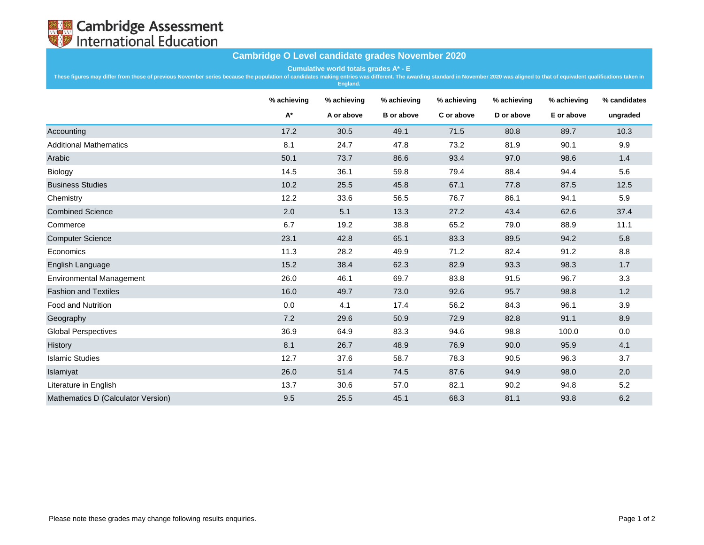

## **Cambridge O Level candidate grades November 2020**

**Cumulative world totals grades A\* - E**

These figures may differ from those of previous November series because the population of candidates making entries was different. The awarding standard in November 2020 was aligned to that of equivalent qualifications tak

|                                    | % achieving | % achieving | % achieving       | % achieving | % achieving | % achieving | % candidates |
|------------------------------------|-------------|-------------|-------------------|-------------|-------------|-------------|--------------|
|                                    | $A^*$       | A or above  | <b>B</b> or above | C or above  | D or above  | E or above  | ungraded     |
| Accounting                         | 17.2        | 30.5        | 49.1              | 71.5        | 80.8        | 89.7        | 10.3         |
| <b>Additional Mathematics</b>      | 8.1         | 24.7        | 47.8              | 73.2        | 81.9        | 90.1        | 9.9          |
| Arabic                             | 50.1        | 73.7        | 86.6              | 93.4        | 97.0        | 98.6        | 1.4          |
| Biology                            | 14.5        | 36.1        | 59.8              | 79.4        | 88.4        | 94.4        | 5.6          |
| <b>Business Studies</b>            | 10.2        | 25.5        | 45.8              | 67.1        | 77.8        | 87.5        | 12.5         |
| Chemistry                          | 12.2        | 33.6        | 56.5              | 76.7        | 86.1        | 94.1        | 5.9          |
| <b>Combined Science</b>            | 2.0         | 5.1         | 13.3              | 27.2        | 43.4        | 62.6        | 37.4         |
| Commerce                           | 6.7         | 19.2        | 38.8              | 65.2        | 79.0        | 88.9        | 11.1         |
| <b>Computer Science</b>            | 23.1        | 42.8        | 65.1              | 83.3        | 89.5        | 94.2        | 5.8          |
| Economics                          | 11.3        | 28.2        | 49.9              | 71.2        | 82.4        | 91.2        | 8.8          |
| English Language                   | 15.2        | 38.4        | 62.3              | 82.9        | 93.3        | 98.3        | 1.7          |
| <b>Environmental Management</b>    | 26.0        | 46.1        | 69.7              | 83.8        | 91.5        | 96.7        | 3.3          |
| <b>Fashion and Textiles</b>        | 16.0        | 49.7        | 73.0              | 92.6        | 95.7        | 98.8        | 1.2          |
| <b>Food and Nutrition</b>          | 0.0         | 4.1         | 17.4              | 56.2        | 84.3        | 96.1        | 3.9          |
| Geography                          | 7.2         | 29.6        | 50.9              | 72.9        | 82.8        | 91.1        | 8.9          |
| <b>Global Perspectives</b>         | 36.9        | 64.9        | 83.3              | 94.6        | 98.8        | 100.0       | 0.0          |
| History                            | 8.1         | 26.7        | 48.9              | 76.9        | 90.0        | 95.9        | 4.1          |
| <b>Islamic Studies</b>             | 12.7        | 37.6        | 58.7              | 78.3        | 90.5        | 96.3        | 3.7          |
| Islamiyat                          | 26.0        | 51.4        | 74.5              | 87.6        | 94.9        | 98.0        | 2.0          |
| Literature in English              | 13.7        | 30.6        | 57.0              | 82.1        | 90.2        | 94.8        | 5.2          |
| Mathematics D (Calculator Version) | 9.5         | 25.5        | 45.1              | 68.3        | 81.1        | 93.8        | 6.2          |